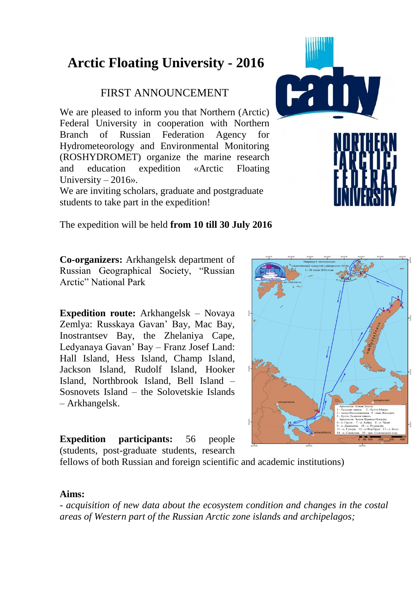# **Arctic Floating University - 2016**

# FIRST ANNOUNCEMENT

We are pleased to inform you that Northern (Arctic) Federal University in cooperation with Northern Branch of Russian Federation Agency for Hydrometeorology and Environmental Monitoring (ROSHYDROMET) organize the marine research and education expedition «Arctic Floating University  $-2016$ ».

We are inviting scholars, graduate and postgraduate students to take part in the expedition!

The expedition will be held **from 10 till 30 July 2016**

**Co-organizers:** Arkhangelsk department of Russian Geographical Society, "Russian Arctic" National Park

**Expedition route:** Arkhangelsk – Novaya Zemlya: Russkaya Gavan' Bay, Mac Bay, Inostrantsev Bay, the Zhelaniya Cape, Ledyanaya Gavan' Bay – Franz Josef Land: Hall Island, Hess Island, Champ Island, Jackson Island, Rudolf Island, Hooker Island, Northbrook Island, Bell Island – Sosnovets Island – the Solovetskie Islands – Arkhangelsk.

**Expedition participants:** 56 people (students, post-graduate students, research



fellows of both Russian and foreign scientific and academic institutions)

#### **Aims:**

*- acquisition of new data about the ecosystem condition and changes in the costal areas of Western part of the Russian Arctic zone islands and archipelagos;* 

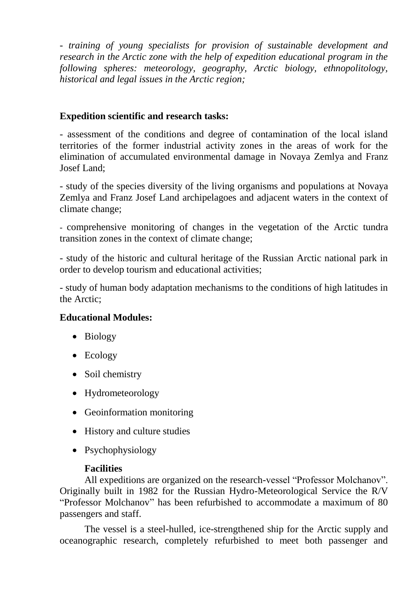*- training of young specialists for provision of sustainable development and research in the Arctic zone with the help of expedition educational program in the following spheres: meteorology, geography, Arctic biology, ethnopolitology, historical and legal issues in the Arctic region;* 

## **Expedition scientific and research tasks:**

- assessment of the conditions and degree of contamination of the local island territories of the former industrial activity zones in the areas of work for the elimination of accumulated environmental damage in Novaya Zemlya and Franz Josef Land;

- study of the species diversity of the living organisms and populations at Novaya Zemlya and Franz Josef Land archipelagoes and adjacent waters in the context of climate change;

- comprehensive monitoring of changes in the vegetation of the Arctic tundra transition zones in the context of climate change;

- study of the historic and cultural heritage of the Russian Arctic national park in order to develop tourism and educational activities;

- study of human body adaptation mechanisms to the conditions of high latitudes in the Arctic;

### **Educational Modules:**

- Biology
- Ecology
- Soil chemistry
- Hydrometeorology
- Geoinformation monitoring
- History and culture studies
- Psychophysiology

### **Facilities**

All expeditions are organized on the research-vessel "Professor Molchanov". Originally built in 1982 for the Russian Hydro-Meteorological Service the R/V "Professor Molchanov" has been refurbished to accommodate a maximum of 80 passengers and staff.

The vessel is a steel-hulled, ice-strengthened ship for the Arctic supply and oceanographic research, completely refurbished to meet both passenger and